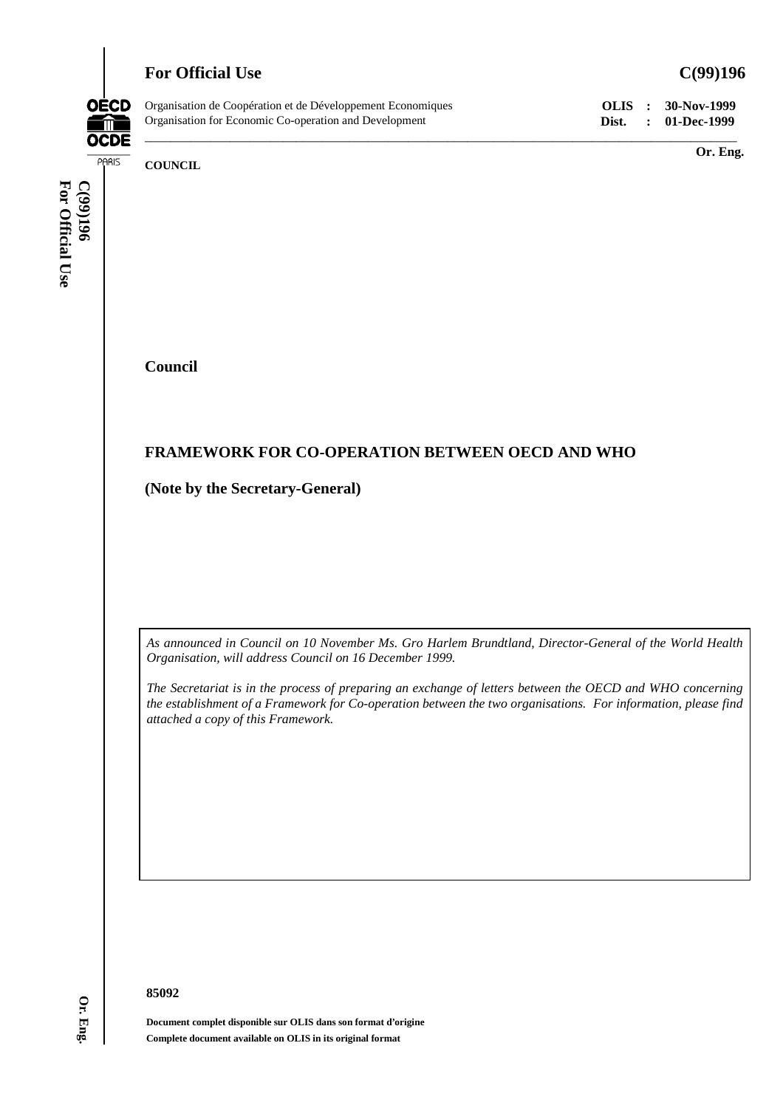# **For Official Use C(99)196**



Organisation de Coopération et de Développement Economiques **OLIS : 30-Nov-1999** Organisation for Economic Co-operation and Development **Dist. : 01-Dec-1999**

**Or. Eng.**

**COUNCIL**

For Official Use **For Official Use C(99)196**

**Council**

## **FRAMEWORK FOR CO-OPERATION BETWEEN OECD AND WHO**

**(Note by the Secretary-General)**

*As announced in Council on 10 November Ms. Gro Harlem Brundtland, Director-General of the World Health Organisation, will address Council on 16 December 1999.*

\_\_\_\_\_\_\_\_\_\_\_\_\_\_\_\_\_\_\_\_\_\_\_\_\_\_\_\_\_\_\_\_\_\_\_\_\_\_\_\_\_\_\_\_\_\_\_\_\_\_\_\_\_\_\_\_\_\_\_\_\_\_\_\_\_\_\_\_\_\_\_\_\_\_\_\_\_\_\_\_\_\_\_\_\_\_\_\_\_\_

*The Secretariat is in the process of preparing an exchange of letters between the OECD and WHO concerning the establishment of a Framework for Co-operation between the two organisations. For information, please find attached a copy of this Framework.*

**85092**

**Document complet disponible sur OLIS dans son format d'origine Complete document available on OLIS in its original format**

**Or. Eng.**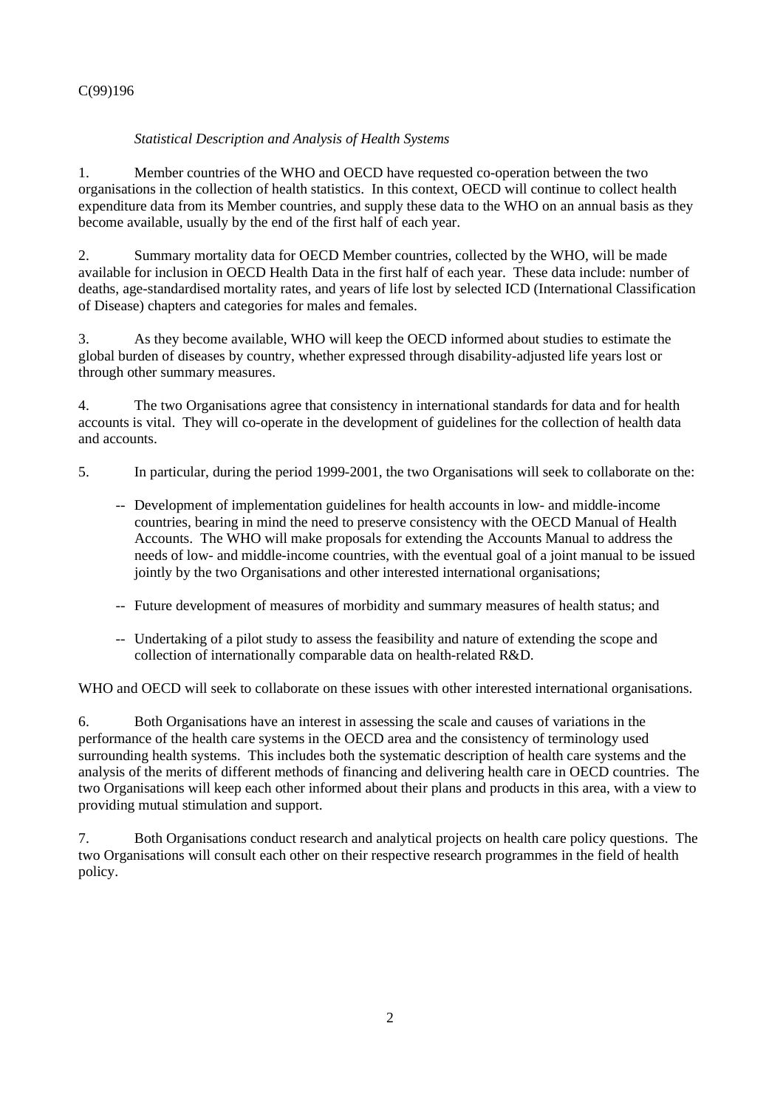## C(99)196

## *Statistical Description and Analysis of Health Systems*

1. Member countries of the WHO and OECD have requested co-operation between the two organisations in the collection of health statistics. In this context, OECD will continue to collect health expenditure data from its Member countries, and supply these data to the WHO on an annual basis as they become available, usually by the end of the first half of each year.

2. Summary mortality data for OECD Member countries, collected by the WHO, will be made available for inclusion in OECD Health Data in the first half of each year. These data include: number of deaths, age-standardised mortality rates, and years of life lost by selected ICD (International Classification of Disease) chapters and categories for males and females.

3. As they become available, WHO will keep the OECD informed about studies to estimate the global burden of diseases by country, whether expressed through disability-adjusted life years lost or through other summary measures.

4. The two Organisations agree that consistency in international standards for data and for health accounts is vital. They will co-operate in the development of guidelines for the collection of health data and accounts.

- 5. In particular, during the period 1999-2001, the two Organisations will seek to collaborate on the:
	- -- Development of implementation guidelines for health accounts in low- and middle-income countries, bearing in mind the need to preserve consistency with the OECD Manual of Health Accounts. The WHO will make proposals for extending the Accounts Manual to address the needs of low- and middle-income countries, with the eventual goal of a joint manual to be issued jointly by the two Organisations and other interested international organisations;
	- -- Future development of measures of morbidity and summary measures of health status; and
	- -- Undertaking of a pilot study to assess the feasibility and nature of extending the scope and collection of internationally comparable data on health-related R&D.

WHO and OECD will seek to collaborate on these issues with other interested international organisations.

6. Both Organisations have an interest in assessing the scale and causes of variations in the performance of the health care systems in the OECD area and the consistency of terminology used surrounding health systems. This includes both the systematic description of health care systems and the analysis of the merits of different methods of financing and delivering health care in OECD countries. The two Organisations will keep each other informed about their plans and products in this area, with a view to providing mutual stimulation and support.

7. Both Organisations conduct research and analytical projects on health care policy questions. The two Organisations will consult each other on their respective research programmes in the field of health policy.